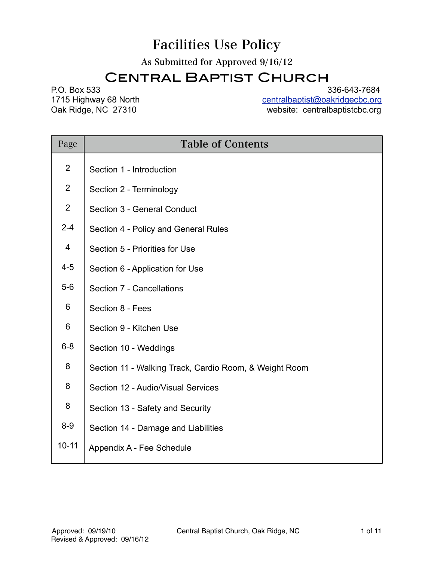# Facilities Use Policy

As Submitted for Approved 9/16/12

# Central Baptist Church

P.O. Box 533 336-643-7684<br>1715 Highway 68 North the state of the contral baptist@oakridgecbc.org 1715 Highway 68 North [centralbaptist@oakridgecbc.org](mailto:centralbaptist@oakridgecbc.org)<br>
Oak Ridge, NC 27310 centralbaptistco.org website: centralbaptistcbc.org

| Page           | <b>Table of Contents</b>                               |
|----------------|--------------------------------------------------------|
| $\overline{2}$ | Section 1 - Introduction                               |
| $\overline{2}$ | Section 2 - Terminology                                |
| $\overline{2}$ | Section 3 - General Conduct                            |
| $2 - 4$        | Section 4 - Policy and General Rules                   |
| 4              | Section 5 - Priorities for Use                         |
| $4 - 5$        | Section 6 - Application for Use                        |
| $5-6$          | Section 7 - Cancellations                              |
| 6              | Section 8 - Fees                                       |
| 6              | Section 9 - Kitchen Use                                |
| $6 - 8$        | Section 10 - Weddings                                  |
| 8              | Section 11 - Walking Track, Cardio Room, & Weight Room |
| 8              | Section 12 - Audio/Visual Services                     |
| 8              | Section 13 - Safety and Security                       |
| $8-9$          | Section 14 - Damage and Liabilities                    |
| $10 - 11$      | Appendix A - Fee Schedule                              |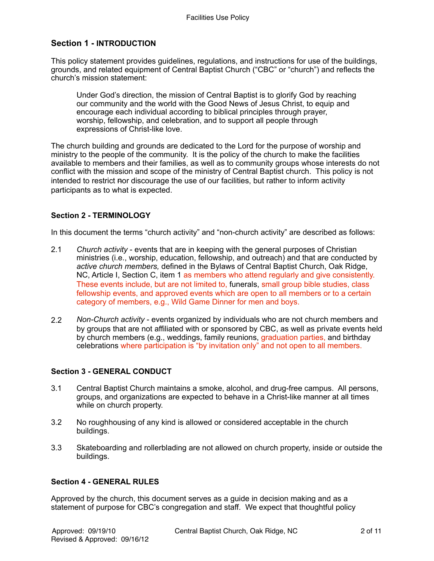# **Section 1 - INTRODUCTION**

This policy statement provides guidelines, regulations, and instructions for use of the buildings, grounds, and related equipment of Central Baptist Church ("CBC" or "church") and reflects the church's mission statement:

Under God's direction, the mission of Central Baptist is to glorify God by reaching our community and the world with the Good News of Jesus Christ, to equip and encourage each individual according to biblical principles through prayer, worship, fellowship, and celebration, and to support all people through expressions of Christ-like love.

The church building and grounds are dedicated to the Lord for the purpose of worship and ministry to the people of the community. It is the policy of the church to make the facilities available to members and their families, as well as to community groups whose interests do not conflict with the mission and scope of the ministry of Central Baptist church. This policy is not intended to restrict nor discourage the use of our facilities, but rather to inform activity participants as to what is expected.

# **Section 2 - TERMINOLOGY**

In this document the terms "church activity" and "non-church activity" are described as follows:

- 2.1 *Church activity*  events that are in keeping with the general purposes of Christian ministries (i.e., worship, education, fellowship, and outreach) and that are conducted by *active church members,* defined in the Bylaws of Central Baptist Church, Oak Ridge, NC, Article I, Section C, item 1 as members who attend regularly and give consistently. These events include, but are not limited to, funerals, small group bible studies, class fellowship events, and approved events which are open to all members or to a certain category of members, e.g., Wild Game Dinner for men and boys.
- 2.2 *Non-Church activity* events organized by individuals who are not church members and by groups that are not affiliated with or sponsored by CBC, as well as private events held by church members (e.g., weddings, family reunions, graduation parties, and birthday celebrations where participation is "by invitation only" and not open to all members.

# **Section 3 - GENERAL CONDUCT**

- 3.1 Central Baptist Church maintains a smoke, alcohol, and drug-free campus. All persons, groups, and organizations are expected to behave in a Christ-like manner at all times while on church property.
- 3.2 No roughhousing of any kind is allowed or considered acceptable in the church buildings.
- 3.3 Skateboarding and rollerblading are not allowed on church property, inside or outside the buildings.

# **Section 4 - GENERAL RULES**

Approved by the church, this document serves as a guide in decision making and as a statement of purpose for CBC's congregation and staff. We expect that thoughtful policy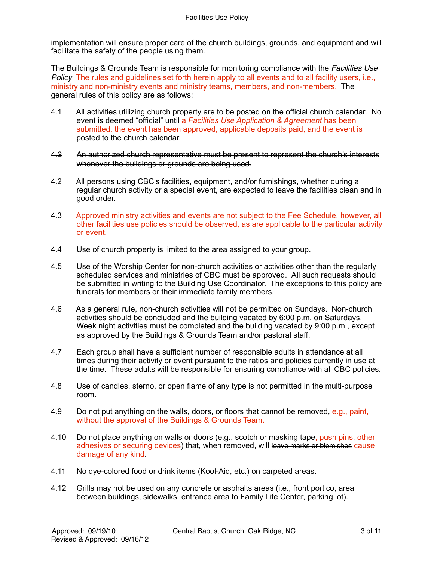implementation will ensure proper care of the church buildings, grounds, and equipment and will facilitate the safety of the people using them.

The Buildings & Grounds Team is responsible for monitoring compliance with the *Facilities Use Policy* The rules and guidelines set forth herein apply to all events and to all facility users, i.e., ministry and non-ministry events and ministry teams, members, and non-members. The general rules of this policy are as follows:

- 4.1 All activities utilizing church property are to be posted on the official church calendar. No event is deemed "official" until a *Facilities Use Application & Agreement* has been submitted, the event has been approved, applicable deposits paid, and the event is posted to the church calendar.
- 4.2 An authorized church representative must be present to represent the church's interests whenever the buildings or grounds are being used.
- 4.2 All persons using CBC's facilities, equipment, and/or furnishings, whether during a regular church activity or a special event, are expected to leave the facilities clean and in good order.
- 4.3 Approved ministry activities and events are not subject to the Fee Schedule, however, all other facilities use policies should be observed, as are applicable to the particular activity or event.
- 4.4 Use of church property is limited to the area assigned to your group.
- 4.5 Use of the Worship Center for non-church activities or activities other than the regularly scheduled services and ministries of CBC must be approved.All such requests should be submitted in writing to the Building Use Coordinator. The exceptions to this policy are funerals for members or their immediate family members.
- 4.6 As a general rule, non-church activities will not be permitted on Sundays. Non-church activities should be concluded and the building vacated by 6:00 p.m. on Saturdays. Week night activities must be completed and the building vacated by 9:00 p.m., except as approved by the Buildings & Grounds Team and/or pastoral staff.
- 4.7 Each group shall have a sufficient number of responsible adults in attendance at all times during their activity or event pursuant to the ratios and policies currently in use at the time. These adults will be responsible for ensuring compliance with all CBC policies.
- 4.8 Use of candles, sterno, or open flame of any type is not permitted in the multi-purpose room.
- 4.9 Do not put anything on the walls, doors, or floors that cannot be removed, e.g., paint, without the approval of the Buildings & Grounds Team.
- 4.10 Do not place anything on walls or doors (e.g., scotch or masking tape, push pins, other adhesives or securing devices) that, when removed, will leave marks or blemishes cause damage of any kind.
- 4.11 No dye-colored food or drink items (Kool-Aid, etc.) on carpeted areas.
- 4.12 Grills may not be used on any concrete or asphalts areas (i.e., front portico, area between buildings, sidewalks, entrance area to Family Life Center, parking lot).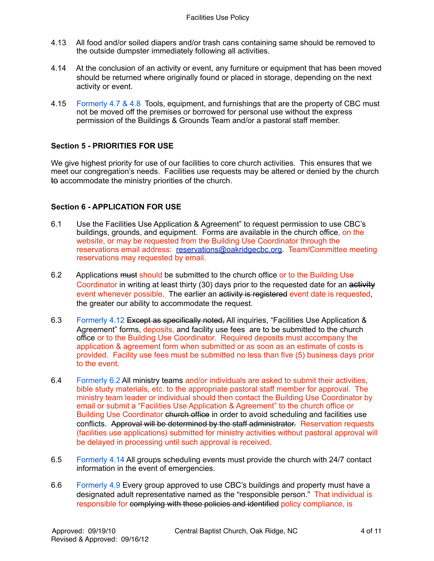- 4.13 All food and/or soiled diapers and/or trash cans containing same should be removed to the outside dumpster immediately following all activities.
- 4.14 At the conclusion of an activity or event, any furniture or equipment that has been moved should be returned where originally found or placed in storage, depending on the next activity or event.
- 4.15 Formerly 4.7 & 4.8 Tools, equipment, and furnishings that are the property of CBC must not be moved off the premises or borrowed for personal use without the express permission of the Buildings & Grounds Team and/or a pastoral staff member.

#### **Section 5 - PRIORITIES FOR USE**

We give highest priority for use of our facilities to core church activities. This ensures that we meet our congregation's needs. Facilities use requests may be altered or denied by the church to accommodate the ministry priorities of the church.

#### **Section 6 - APPLICATION FOR USE**

- 6.1 Use the Facilities Use Application & Agreement" to request permission to use CBC's buildings, grounds, and equipment. Forms are available in the church office, on the website, or may be requested from the Building Use Coordinator through the reservations email address: [reservations@oakridgecbc.org.](mailto:reservations@oakridgecbc.org) Team/Committee meeting reservations may requested by email.
- 6.2 Applications must should be submitted to the church office or to the Building Use Coordinator in writing at least thirty (30) days prior to the requested date for an activity event whenever possible. The earlier an activity is registered event date is requested, the greater our ability to accommodate the request.
- 6.3 Formerly 4.12 Except as specifically noted, All inquiries, "Facilities Use Application & Agreement" forms, deposits, and facility use fees are to be submitted to the church office or to the Building Use Coordinator. Required deposits must accompany the application & agreement form when submitted or as soon as an estimate of costs is provided. Facility use fees must be submitted no less than five (5) business days prior to the event.
- 6.4 Formerly 6.2 All ministry teams and/or individuals are asked to submit their activities, bible study materials, etc. to the appropriate pastoral staff member for approval. The ministry team leader or individual should then contact the Building Use Coordinator by email or submit a "Facilities Use Application & Agreement" to the church office or Building Use Coordinator church office in order to avoid scheduling and facilities use conflicts. Approval will be determined by the staff administrator. Reservation requests (facilities use applications) submitted for ministry activities without pastoral approval will be delayed in processing until such approval is received.
- 6.5 Formerly 4.14 All groups scheduling events must provide the church with 24/7 contact information in the event of emergencies.
- 6.6 Formerly 4.9 Every group approved to use CBC's buildings and property must have a designated adult representative named as the "responsible person." That individual is responsible for complying with these policies and identified policy compliance, is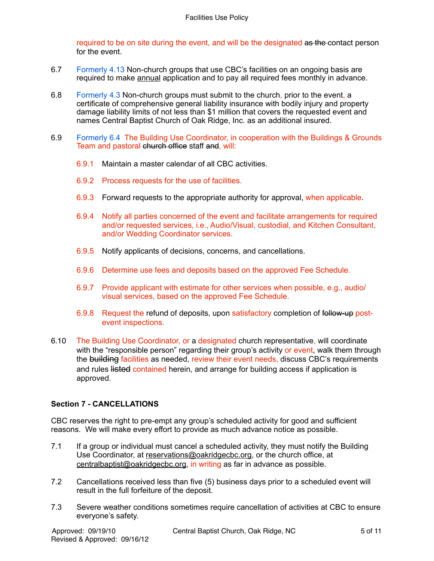required to be on site during the event, and will be the designated as the contact person for the event.

- 6.7 Formerly 4.13 Non-church groups that use CBC's facilities on an ongoing basis are required to make annual application and to pay all required fees monthly in advance.
- 6.8 Formerly 4.3 Non-church groups must submit to the church, prior to the event, a certificate of comprehensive general liability insurance with bodily injury and property damage liability limits of not less than \$1 million that covers the requested event and names Central Baptist Church of Oak Ridge, Inc. as an additional insured.
- 6.9 Formerly 6.4 The Building Use Coordinator, in cooperation with the Buildings & Grounds Team and pastoral church office staff and, will:
	- 6.9.1 Maintain a master calendar of all CBC activities.
	- 6.9.2 Process requests for the use of facilities.
	- 6.9.3 Forward requests to the appropriate authority for approval, when applicable.
	- 6.9.4 Notify all parties concerned of the event and facilitate arrangements for required and/or requested services, i.e., Audio/Visual, custodial, and Kitchen Consultant, and/or Wedding Coordinator services.
	- 6.9.5 Notify applicants of decisions, concerns, and cancellations.
	- 6.9.6 Determine use fees and deposits based on the approved Fee Schedule.
	- 6.9.7 Provide applicant with estimate for other services when possible, e.g., audio/ visual services, based on the approved Fee Schedule.
	- 6.9.8 Request the refund of deposits, upon satisfactory completion of follow-up postevent inspections.
- 6.10 The Building Use Coordinator, or a designated church representative, will coordinate with the "responsible person" regarding their group's activity or event, walk them through the building facilities as needed, review their event needs, discuss CBC's requirements and rules listed contained herein, and arrange for building access if application is approved.

#### **Section 7 - CANCELLATIONS**

CBC reserves the right to pre-empt any group's scheduled activity for good and sufficient reasons. We will make every effort to provide as much advance notice as possible.

- 7.1 If a group or individual must cancel a scheduled activity, they must notify the Building Use Coordinator, at [reservations@oakridgecbc.org](mailto:reservations@oakridgecbc.org), or the church office, at [centralbaptist@oakridgecbc.org,](mailto:centralbaptist@oakridgecbc.org) in writing as far in advance as possible.
- 7.2 Cancellations received less than five (5) business days prior to a scheduled event will result in the full forfeiture of the deposit.
- 7.3 Severe weather conditions sometimes require cancellation of activities at CBC to ensure everyone's safety.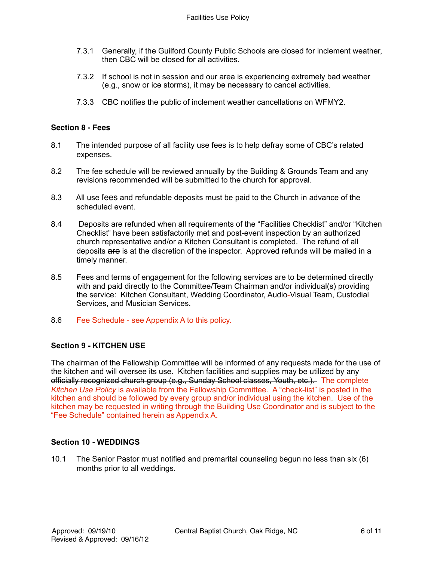- 7.3.1 Generally, if the Guilford County Public Schools are closed for inclement weather, then CBC will be closed for all activities.
- 7.3.2 If school is not in session and our area is experiencing extremely bad weather (e.g., snow or ice storms), it may be necessary to cancel activities.
- 7.3.3 CBC notifies the public of inclement weather cancellations on WFMY2.

#### **Section 8 - Fees**

- 8.1 The intended purpose of all facility use fees is to help defray some of CBC's related expenses.
- 8.2 The fee schedule will be reviewed annually by the Building & Grounds Team and any revisions recommended will be submitted to the church for approval.
- 8.3 All use fees and refundable deposits must be paid to the Church in advance of the scheduled event.
- 8.4 Deposits are refunded when all requirements of the "Facilities Checklist" and/or "Kitchen Checklist" have been satisfactorily met and post-event inspection by an authorized church representative and/or a Kitchen Consultant is completed. The refund of all deposits are is at the discretion of the inspector. Approved refunds will be mailed in a timely manner.
- 8.5 Fees and terms of engagement for the following services are to be determined directly with and paid directly to the Committee/Team Chairman and/or individual(s) providing the service: Kitchen Consultant, Wedding Coordinator, Audio-Visual Team, Custodial Services, and Musician Services.
- 8.6 Fee Schedule see Appendix A to this policy.

# **Section 9 - KITCHEN USE**

The chairman of the Fellowship Committee will be informed of any requests made for the use of the kitchen and will oversee its use. Kitchen facilities and supplies may be utilized by any officially recognized church group (e.g., Sunday School classes, Youth, etc.). The complete *Kitchen Use Policy* is available from the Fellowship Committee. A "check-list" is posted in the kitchen and should be followed by every group and/or individual using the kitchen. Use of the kitchen may be requested in writing through the Building Use Coordinator and is subject to the "Fee Schedule" contained herein as Appendix A.

# **Section 10 - WEDDINGS**

10.1 The Senior Pastor must notified and premarital counseling begun no less than six (6) months prior to all weddings.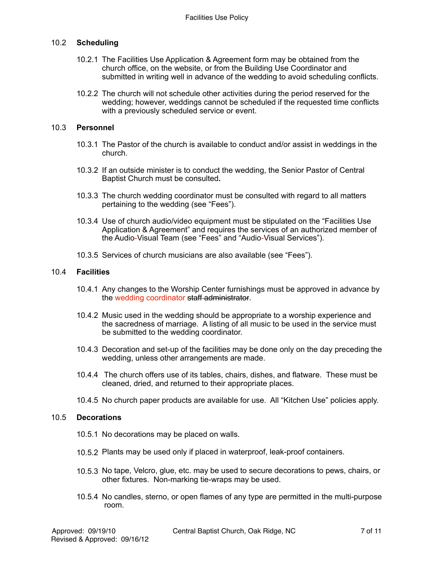# 10.2 **Scheduling**

- 10.2.1 The Facilities Use Application & Agreement form may be obtained from the church office, on the website, or from the Building Use Coordinator and submitted in writing well in advance of the wedding to avoid scheduling conflicts.
- 10.2.2 The church will not schedule other activities during the period reserved for the wedding; however, weddings cannot be scheduled if the requested time conflicts with a previously scheduled service or event.

#### 10.3 **Personnel**

- 10.3.1 The Pastor of the church is available to conduct and/or assist in weddings in the church.
- 10.3.2 If an outside minister is to conduct the wedding, the Senior Pastor of Central Baptist Church must be consulted**.**
- 10.3.3 The church wedding coordinator must be consulted with regard to all matters pertaining to the wedding (see "Fees").
- 10.3.4 Use of church audio/video equipment must be stipulated on the "Facilities Use Application & Agreement" and requires the services of an authorized member of the Audio-Visual Team (see "Fees" and "Audio-Visual Services").
- 10.3.5 Services of church musicians are also available (see "Fees").

#### 10.4 **Facilities**

- 10.4.1 Any changes to the Worship Center furnishings must be approved in advance by the wedding coordinator staff administrator.
- 10.4.2 Music used in the wedding should be appropriate to a worship experience and the sacredness of marriage. A listing of all music to be used in the service must be submitted to the wedding coordinator.
- 10.4.3 Decoration and set-up of the facilities may be done only on the day preceding the wedding, unless other arrangements are made.
- 10.4.4 The church offers use of its tables, chairs, dishes, and flatware. These must be cleaned, dried, and returned to their appropriate places.
- 10.4.5 No church paper products are available for use. All "Kitchen Use" policies apply.

#### 10.5 **Decorations**

- 10.5.1 No decorations may be placed on walls.
- 10.5.2 Plants may be used only if placed in waterproof, leak-proof containers.
- 10.5.3 No tape, Velcro, glue, etc. may be used to secure decorations to pews, chairs, or other fixtures. Non-marking tie-wraps may be used.
- 10.5.4 No candles, sterno, or open flames of any type are permitted in the multi-purpose room.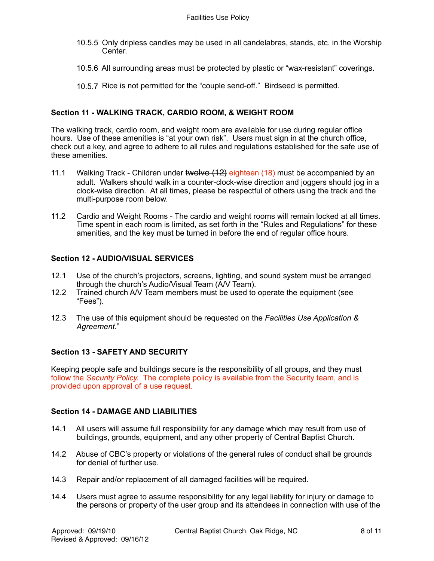- 10.5.5 Only dripless candles may be used in all candelabras, stands, etc. in the Worship Center.
- 10.5.6 All surrounding areas must be protected by plastic or "wax-resistant" coverings.
- 10.5.7 Rice is not permitted for the "couple send-off." Birdseed is permitted.

# **Section 11 - WALKING TRACK, CARDIO ROOM, & WEIGHT ROOM**

The walking track, cardio room, and weight room are available for use during regular office hours. Use of these amenities is "at your own risk". Users must sign in at the church office, check out a key, and agree to adhere to all rules and regulations established for the safe use of these amenities.

- 11.1 Walking Track Children under twelve (12) eighteen (18) must be accompanied by an adult. Walkers should walk in a counter-clock-wise direction and joggers should jog in a clock-wise direction. At all times, please be respectful of others using the track and the multi-purpose room below.
- 11.2 Cardio and Weight Rooms The cardio and weight rooms will remain locked at all times. Time spent in each room is limited, as set forth in the "Rules and Regulations" for these amenities, and the key must be turned in before the end of regular office hours.

#### **Section 12 - AUDIO/VISUAL SERVICES**

- 12.1 Use of the church's projectors, screens, lighting, and sound system must be arranged through the church's Audio/Visual Team (A/V Team).
- 12.2 Trained church A/V Team members must be used to operate the equipment (see "Fees").
- 12.3 The use of this equipment should be requested on the *Facilities Use Application & Agreement*."

# **Section 13 - SAFETY AND SECURITY**

Keeping people safe and buildings secure is the responsibility of all groups, and they must follow the *Security Policy.* The complete policy is available from the Security team, and is provided upon approval of a use request.

#### **Section 14 - DAMAGE AND LIABILITIES**

- 14.1 All users will assume full responsibility for any damage which may result from use of buildings, grounds, equipment, and any other property of Central Baptist Church.
- 14.2 Abuse of CBC's property or violations of the general rules of conduct shall be grounds for denial of further use.
- 14.3 Repair and/or replacement of all damaged facilities will be required.
- 14.4 Users must agree to assume responsibility for any legal liability for injury or damage to the persons or property of the user group and its attendees in connection with use of the